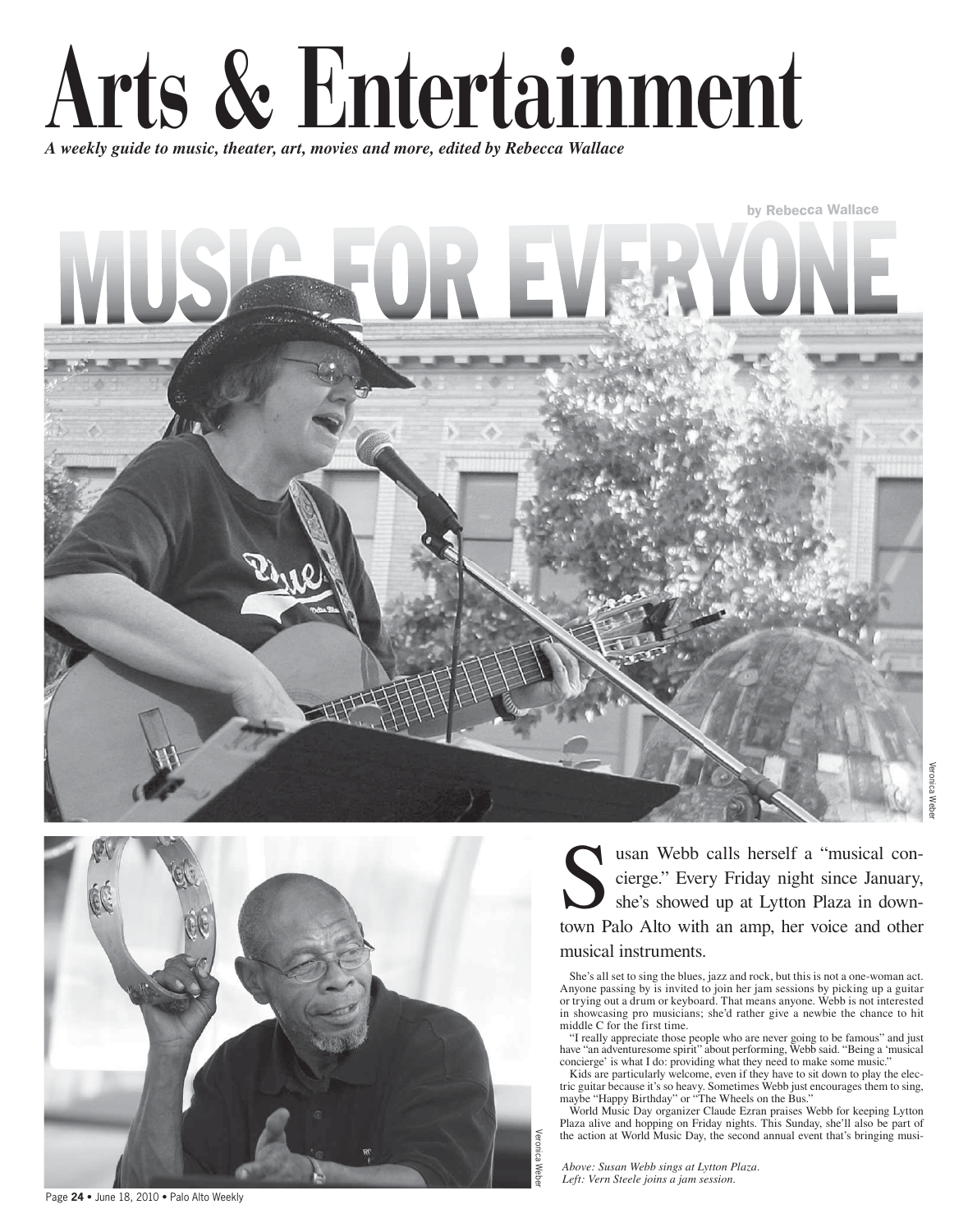

A weekly guide to music, theater, art, movies and more, edited by Rebecca Wallace





usan Webb calls herself a "musical concierge." Every Friday night since January, she's showed up at Lytton Plaza in downtown Palo Alto with an amp, her voice and other musical instruments.

She's all set to sing the blues, jazz and rock, but this is not a one-woman act. Anyone passing by is invited to join her jam sessions by picking up a guitar or trying out a drum or keyboard. That means anyone. Webb is not interested in showcasing pro musicians; she'd rather give a newbie the chance to hit middle C for the first time.

"I really appreciate those people who are never going to be famous" and just have "an adventuresome spirit" about performing, Webb said. "Being a 'musical concierge' is what I do: providing what they need to make some music.'

Kids are particularly welcome, even if they have to sit down to play the electric guitar because it's so heavy. Sometimes Webb just encourages them to sing, maybe "Happy Birthday" or "The Wheels on the Bus."<br>World Music Day organizer Claude Ezran praises Webb for keeping Lytton

Plaza alive and hopping on Friday nights. This Sunday, she'll also be part of the action at World Music Day, the second annual event that's bringing musi-

Above: Susan Webb sings at Lytton Plaza. Left: Vern Steele joins a jam session.

/eronica We